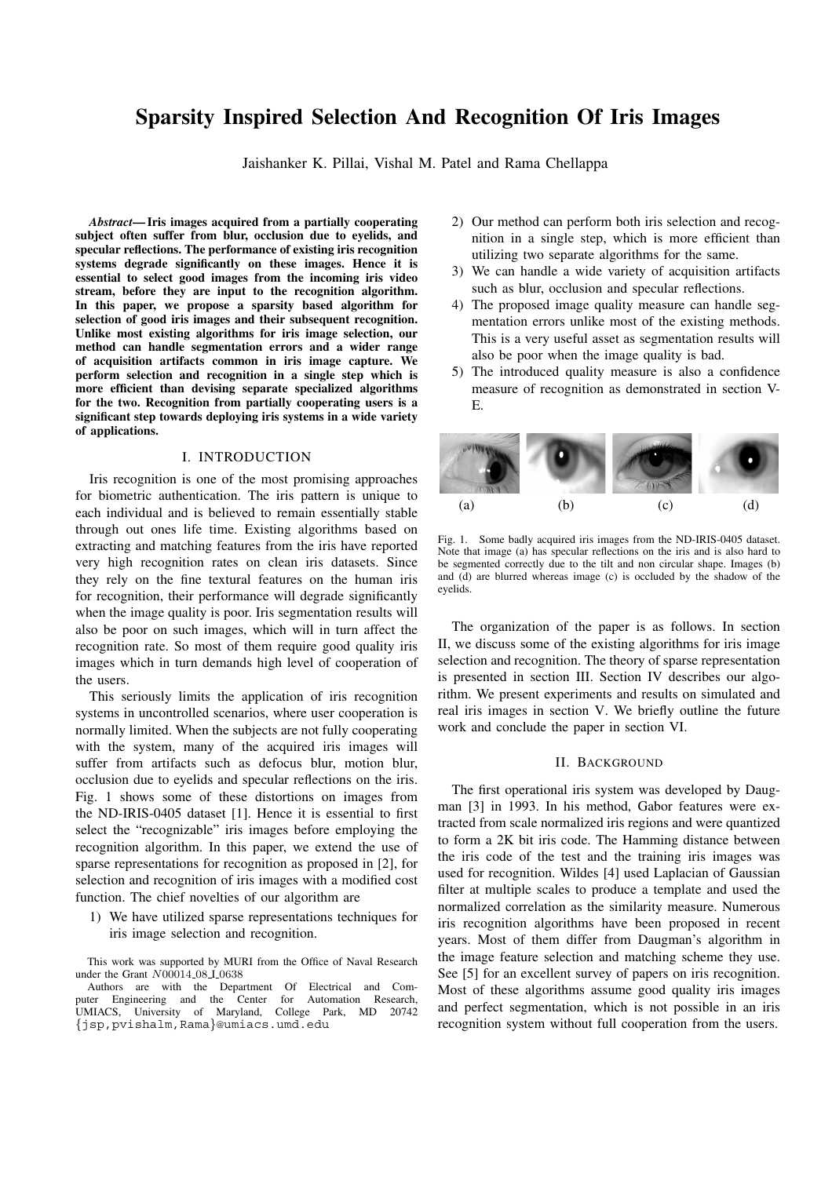# **Sparsity Inspired Selection And Recognition Of Iris Images**

Jaishanker K. Pillai, Vishal M. Patel and Rama Chellappa

*Abstract***— Iris images acquired from a partially cooperating subject often suffer from blur, occlusion due to eyelids, and specular reflections. The performance of existing iris recognition systems degrade significantly on these images. Hence it is essential to select good images from the incoming iris video stream, before they are input to the recognition algorithm. In this paper, we propose a sparsity based algorithm for selection of good iris images and their subsequent recognition. Unlike most existing algorithms for iris image selection, our method can handle segmentation errors and a wider range of acquisition artifacts common in iris image capture. We perform selection and recognition in a single step which is more efficient than devising separate specialized algorithms for the two. Recognition from partially cooperating users is a significant step towards deploying iris systems in a wide variety of applications.**

## I. INTRODUCTION

Iris recognition is one of the most promising approaches for biometric authentication. The iris pattern is unique to each individual and is believed to remain essentially stable through out ones life time. Existing algorithms based on extracting and matching features from the iris have reported very high recognition rates on clean iris datasets. Since they rely on the fine textural features on the human iris for recognition, their performance will degrade significantly when the image quality is poor. Iris segmentation results will also be poor on such images, which will in turn affect the recognition rate. So most of them require good quality iris images which in turn demands high level of cooperation of the users.

This seriously limits the application of iris recognition systems in uncontrolled scenarios, where user cooperation is normally limited. When the subjects are not fully cooperating with the system, many of the acquired iris images will suffer from artifacts such as defocus blur, motion blur, occlusion due to eyelids and specular reflections on the iris. Fig. 1 shows some of these distortions on images from the ND-IRIS-0405 dataset [1]. Hence it is essential to first select the "recognizable" iris images before employing the recognition algorithm. In this paper, we extend the use of sparse representations for recognition as proposed in [2], for selection and recognition of iris images with a modified cost function. The chief novelties of our algorithm are

1) We have utilized sparse representations techniques for iris image selection and recognition.

This work was supported by MURI from the Office of Naval Research under the Grant *N*00014 08 I 0638

Authors are with the Department Of Electrical and Computer Engineering and the Center for Automation Research, UMIACS, University of Maryland, College Park, MD 20742 *{*jsp,pvishalm,Rama*}*@umiacs.umd.edu

- 2) Our method can perform both iris selection and recognition in a single step, which is more efficient than utilizing two separate algorithms for the same.
- 3) We can handle a wide variety of acquisition artifacts such as blur, occlusion and specular reflections.
- 4) The proposed image quality measure can handle segmentation errors unlike most of the existing methods. This is a very useful asset as segmentation results will also be poor when the image quality is bad.
- 5) The introduced quality measure is also a confidence measure of recognition as demonstrated in section V-E.



Fig. 1. Some badly acquired iris images from the ND-IRIS-0405 dataset. Note that image (a) has specular reflections on the iris and is also hard to be segmented correctly due to the tilt and non circular shape. Images (b) and (d) are blurred whereas image (c) is occluded by the shadow of the eyelids.

The organization of the paper is as follows. In section II, we discuss some of the existing algorithms for iris image selection and recognition. The theory of sparse representation is presented in section III. Section IV describes our algorithm. We present experiments and results on simulated and real iris images in section V. We briefly outline the future work and conclude the paper in section VI.

#### II. BACKGROUND

The first operational iris system was developed by Daugman [3] in 1993. In his method, Gabor features were extracted from scale normalized iris regions and were quantized to form a 2K bit iris code. The Hamming distance between the iris code of the test and the training iris images was used for recognition. Wildes [4] used Laplacian of Gaussian filter at multiple scales to produce a template and used the normalized correlation as the similarity measure. Numerous iris recognition algorithms have been proposed in recent years. Most of them differ from Daugman's algorithm in the image feature selection and matching scheme they use. See [5] for an excellent survey of papers on iris recognition. Most of these algorithms assume good quality iris images and perfect segmentation, which is not possible in an iris recognition system without full cooperation from the users.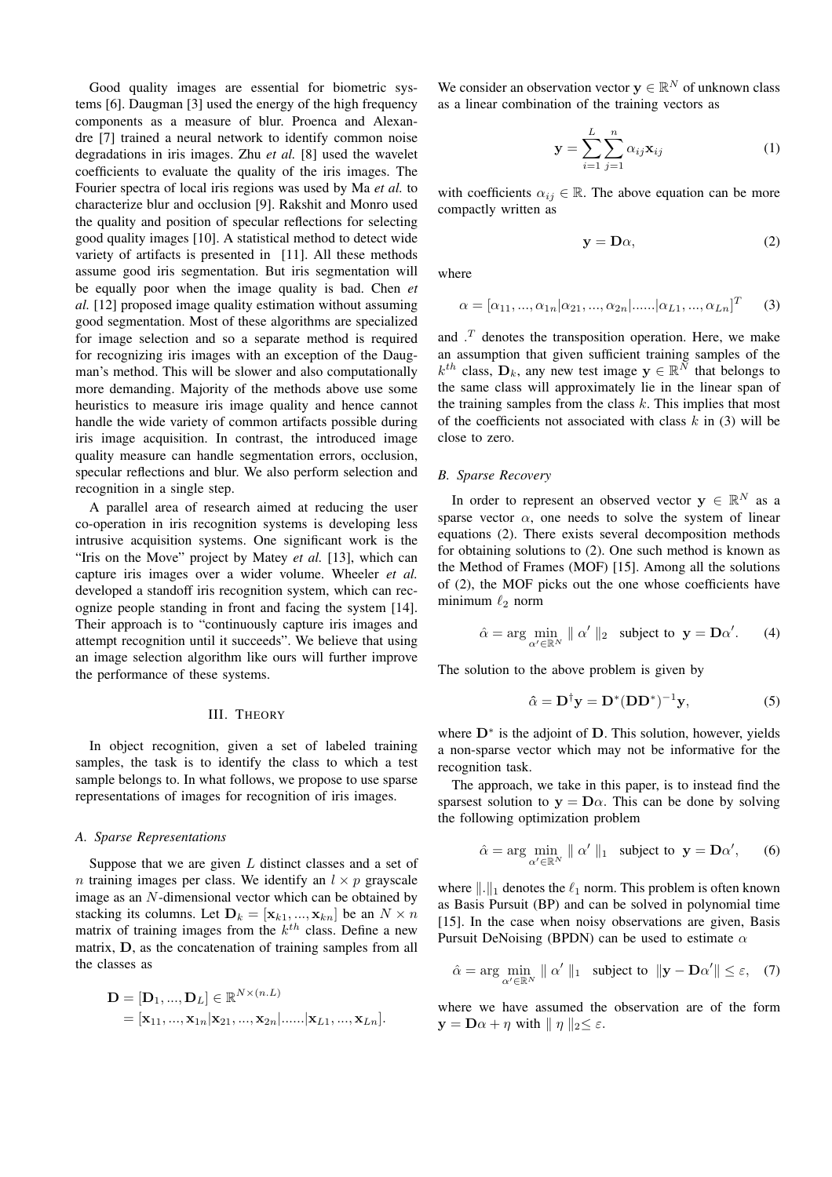Good quality images are essential for biometric systems [6]. Daugman [3] used the energy of the high frequency components as a measure of blur. Proenca and Alexandre [7] trained a neural network to identify common noise degradations in iris images. Zhu *et al.* [8] used the wavelet coefficients to evaluate the quality of the iris images. The Fourier spectra of local iris regions was used by Ma *et al.* to characterize blur and occlusion [9]. Rakshit and Monro used the quality and position of specular reflections for selecting good quality images [10]. A statistical method to detect wide variety of artifacts is presented in [11]. All these methods assume good iris segmentation. But iris segmentation will be equally poor when the image quality is bad. Chen *et al.* [12] proposed image quality estimation without assuming good segmentation. Most of these algorithms are specialized for image selection and so a separate method is required for recognizing iris images with an exception of the Daugman's method. This will be slower and also computationally more demanding. Majority of the methods above use some heuristics to measure iris image quality and hence cannot handle the wide variety of common artifacts possible during iris image acquisition. In contrast, the introduced image quality measure can handle segmentation errors, occlusion, specular reflections and blur. We also perform selection and recognition in a single step.

A parallel area of research aimed at reducing the user co-operation in iris recognition systems is developing less intrusive acquisition systems. One significant work is the "Iris on the Move" project by Matey *et al.* [13], which can capture iris images over a wider volume. Wheeler *et al.* developed a standoff iris recognition system, which can recognize people standing in front and facing the system [14]. Their approach is to "continuously capture iris images and attempt recognition until it succeeds". We believe that using an image selection algorithm like ours will further improve the performance of these systems.

## III. THEORY

In object recognition, given a set of labeled training samples, the task is to identify the class to which a test sample belongs to. In what follows, we propose to use sparse representations of images for recognition of iris images.

## *A. Sparse Representations*

Suppose that we are given  $L$  distinct classes and a set of n training images per class. We identify an  $l \times p$  grayscale image as an N-dimensional vector which can be obtained by stacking its columns. Let  $D_k = [\mathbf{x}_{k1}, ..., \mathbf{x}_{kn}]$  be an  $N \times n$ matrix of training images from the  $k^{th}$  class. Define a new matrix, **D**, as the concatenation of training samples from all the classes as

$$
\mathbf{D} = [\mathbf{D}_1, ..., \mathbf{D}_L] \in \mathbb{R}^{N \times (n.L)} = [\mathbf{x}_{11}, ..., \mathbf{x}_{1n} | \mathbf{x}_{21}, ..., \mathbf{x}_{2n} |...... | \mathbf{x}_{L1}, ..., \mathbf{x}_{Ln}].
$$

We consider an observation vector  $y \in \mathbb{R}^N$  of unknown class as a linear combination of the training vectors as

$$
\mathbf{y} = \sum_{i=1}^{L} \sum_{j=1}^{n} \alpha_{ij} \mathbf{x}_{ij}
$$
 (1)

with coefficients  $\alpha_{ij} \in \mathbb{R}$ . The above equation can be more compactly written as

$$
y = D\alpha, \tag{2}
$$

where

$$
\alpha = [\alpha_{11}, ..., \alpha_{1n} | \alpha_{21}, ..., \alpha_{2n} | ...... | \alpha_{L1}, ..., \alpha_{Ln}]^{T}
$$
 (3)

and  $\cdot^T$  denotes the transposition operation. Here, we make an assumption that given sufficient training samples of the  $k^{th}$  class,  $\mathbf{D}_k$ , any new test image  $\mathbf{y} \in \mathbb{R}^N$  that belongs to the same class will approximately lie in the linear span of the training samples from the class  $k$ . This implies that most of the coefficients not associated with class  $k$  in (3) will be close to zero.

## *B. Sparse Recovery*

In order to represent an observed vector **y**  $\in \mathbb{R}^N$  as a sparse vector  $\alpha$ , one needs to solve the system of linear equations (2). There exists several decomposition methods for obtaining solutions to (2). One such method is known as the Method of Frames (MOF) [15]. Among all the solutions of (2), the MOF picks out the one whose coefficients have minimum  $\ell_2$  norm

$$
\hat{\alpha} = \arg \min_{\alpha' \in \mathbb{R}^N} \| \alpha' \|_2 \quad \text{subject to} \quad \mathbf{y} = \mathbf{D}\alpha'. \tag{4}
$$

The solution to the above problem is given by

$$
\hat{\alpha} = \mathbf{D}^{\dagger} \mathbf{y} = \mathbf{D}^* (\mathbf{D} \mathbf{D}^*)^{-1} \mathbf{y},\tag{5}
$$

where **D**<sup>∗</sup> is the adjoint of **D**. This solution, however, yields a non-sparse vector which may not be informative for the recognition task.

The approach, we take in this paper, is to instead find the sparsest solution to  $y = D\alpha$ . This can be done by solving the following optimization problem

$$
\hat{\alpha} = \arg \min_{\alpha' \in \mathbb{R}^N} \parallel \alpha' \parallel_1 \text{ subject to } \mathbf{y} = \mathbf{D}\alpha', \qquad (6)
$$

where  $\|.\|_1$  denotes the  $\ell_1$  norm. This problem is often known as Basis Pursuit (BP) and can be solved in polynomial time [15]. In the case when noisy observations are given, Basis Pursuit DeNoising (BPDN) can be used to estimate  $\alpha$ 

$$
\hat{\alpha} = \arg \min_{\alpha' \in \mathbb{R}^N} \parallel \alpha' \parallel_1 \quad \text{subject to} \quad \|\mathbf{y} - \mathbf{D}\alpha'\| \le \varepsilon, \quad (7)
$$

where we have assumed the observation are of the form  $\mathbf{y} = \mathbf{D}\alpha + \eta$  with  $\|\eta\|_2 \leq \varepsilon$ .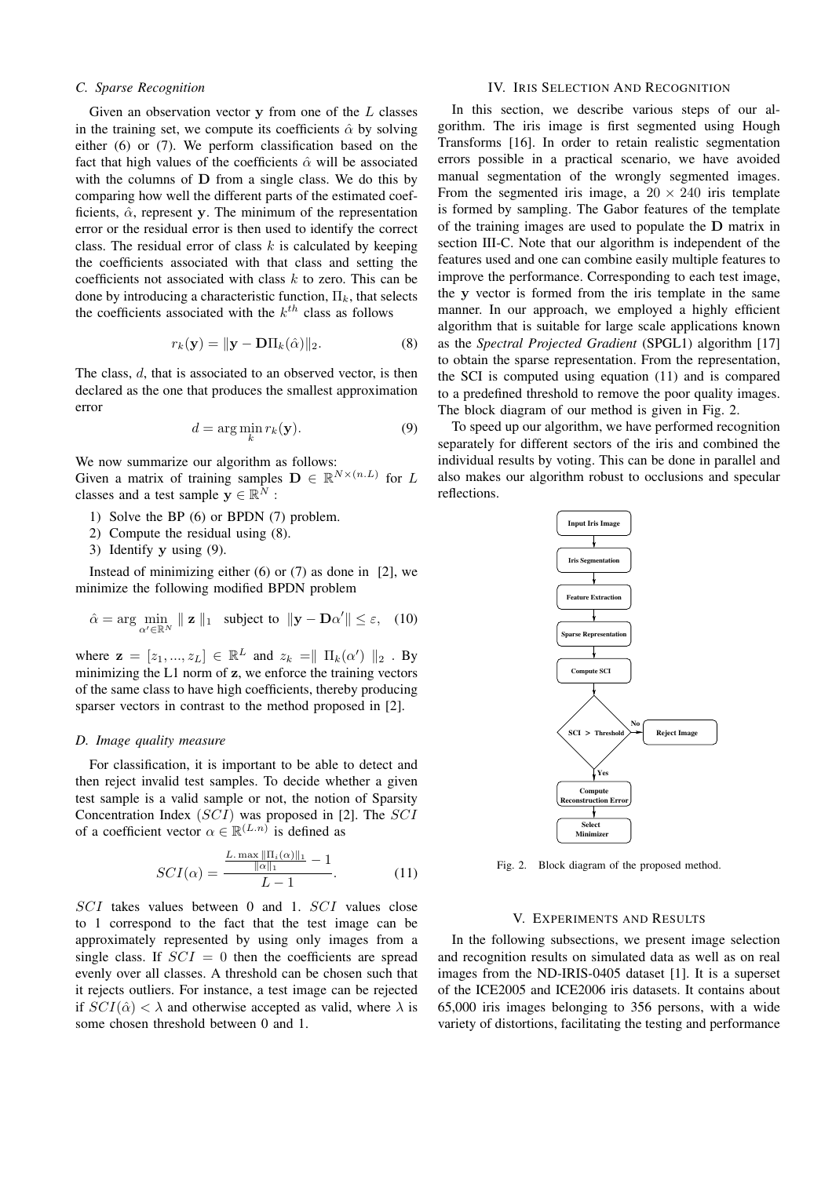## *C. Sparse Recognition*

Given an observation vector **y** from one of the L classes in the training set, we compute its coefficients  $\hat{\alpha}$  by solving either (6) or (7). We perform classification based on the fact that high values of the coefficients  $\hat{\alpha}$  will be associated with the columns of **D** from a single class. We do this by comparing how well the different parts of the estimated coefficients,  $\hat{\alpha}$ , represent **y**. The minimum of the representation error or the residual error is then used to identify the correct class. The residual error of class  $k$  is calculated by keeping the coefficients associated with that class and setting the coefficients not associated with class  $k$  to zero. This can be done by introducing a characteristic function,  $\Pi_k$ , that selects the coefficients associated with the  $k^{th}$  class as follows

$$
r_k(\mathbf{y}) = \|\mathbf{y} - \mathbf{D}\Pi_k(\hat{\alpha})\|_2.
$$
 (8)

The class, d, that is associated to an observed vector, is then declared as the one that produces the smallest approximation error

$$
d = \arg\min_{k} r_k(\mathbf{y}).\tag{9}
$$

We now summarize our algorithm as follows:

Given a matrix of training samples  $\mathbf{D} \in \mathbb{R}^{N \times (n.L)}$  for L classes and a test sample  $y \in \mathbb{R}^N$ :

- 1) Solve the BP (6) or BPDN (7) problem.
- 2) Compute the residual using (8).
- 3) Identify **y** using (9).

Instead of minimizing either  $(6)$  or  $(7)$  as done in  $[2]$ , we minimize the following modified BPDN problem

$$
\hat{\alpha} = \arg \min_{\alpha' \in \mathbb{R}^N} \parallel \mathbf{z} \parallel_1 \text{ subject to } \Vert \mathbf{y} - \mathbf{D}\alpha' \Vert \leq \varepsilon, \quad (10)
$$

where  $\mathbf{z} = [z_1, ..., z_L] \in \mathbb{R}^L$  and  $z_k = || \prod_k(\alpha') ||_2$ . By<br>minimizing the I 1 norm of z we enforce the training vectors minimizing the L1 norm of **z**, we enforce the training vectors of the same class to have high coefficients, thereby producing sparser vectors in contrast to the method proposed in [2].

## *D. Image quality measure*

For classification, it is important to be able to detect and then reject invalid test samples. To decide whether a given test sample is a valid sample or not, the notion of Sparsity Concentration Index (SCI) was proposed in [2]. The SCI of a coefficient vector  $\alpha \in \mathbb{R}^{(L.n)}$  is defined as

$$
SCI(\alpha) = \frac{\frac{L \cdot \max \|\Pi_i(\alpha)\|_1}{\|\alpha\|_1} - 1}{L - 1}.
$$
 (11)

SCI takes values between 0 and 1. SCI values close to 1 correspond to the fact that the test image can be approximately represented by using only images from a single class. If  $SCI = 0$  then the coefficients are spread evenly over all classes. A threshold can be chosen such that it rejects outliers. For instance, a test image can be rejected if  $SCI(\hat{\alpha}) < \lambda$  and otherwise accepted as valid, where  $\lambda$  is some chosen threshold between 0 and 1.

# IV. IRIS SELECTION AND RECOGNITION

In this section, we describe various steps of our algorithm. The iris image is first segmented using Hough Transforms [16]. In order to retain realistic segmentation errors possible in a practical scenario, we have avoided manual segmentation of the wrongly segmented images. From the segmented iris image, a  $20 \times 240$  iris template is formed by sampling. The Gabor features of the template of the training images are used to populate the **D** matrix in section III-C. Note that our algorithm is independent of the features used and one can combine easily multiple features to improve the performance. Corresponding to each test image, the **y** vector is formed from the iris template in the same manner. In our approach, we employed a highly efficient algorithm that is suitable for large scale applications known as the *Spectral Projected Gradient* (SPGL1) algorithm [17] to obtain the sparse representation. From the representation, the SCI is computed using equation (11) and is compared to a predefined threshold to remove the poor quality images. The block diagram of our method is given in Fig. 2.

To speed up our algorithm, we have performed recognition separately for different sectors of the iris and combined the individual results by voting. This can be done in parallel and also makes our algorithm robust to occlusions and specular reflections.



Fig. 2. Block diagram of the proposed method.

## V. EXPERIMENTS AND RESULTS

In the following subsections, we present image selection and recognition results on simulated data as well as on real images from the ND-IRIS-0405 dataset [1]. It is a superset of the ICE2005 and ICE2006 iris datasets. It contains about 65,000 iris images belonging to 356 persons, with a wide variety of distortions, facilitating the testing and performance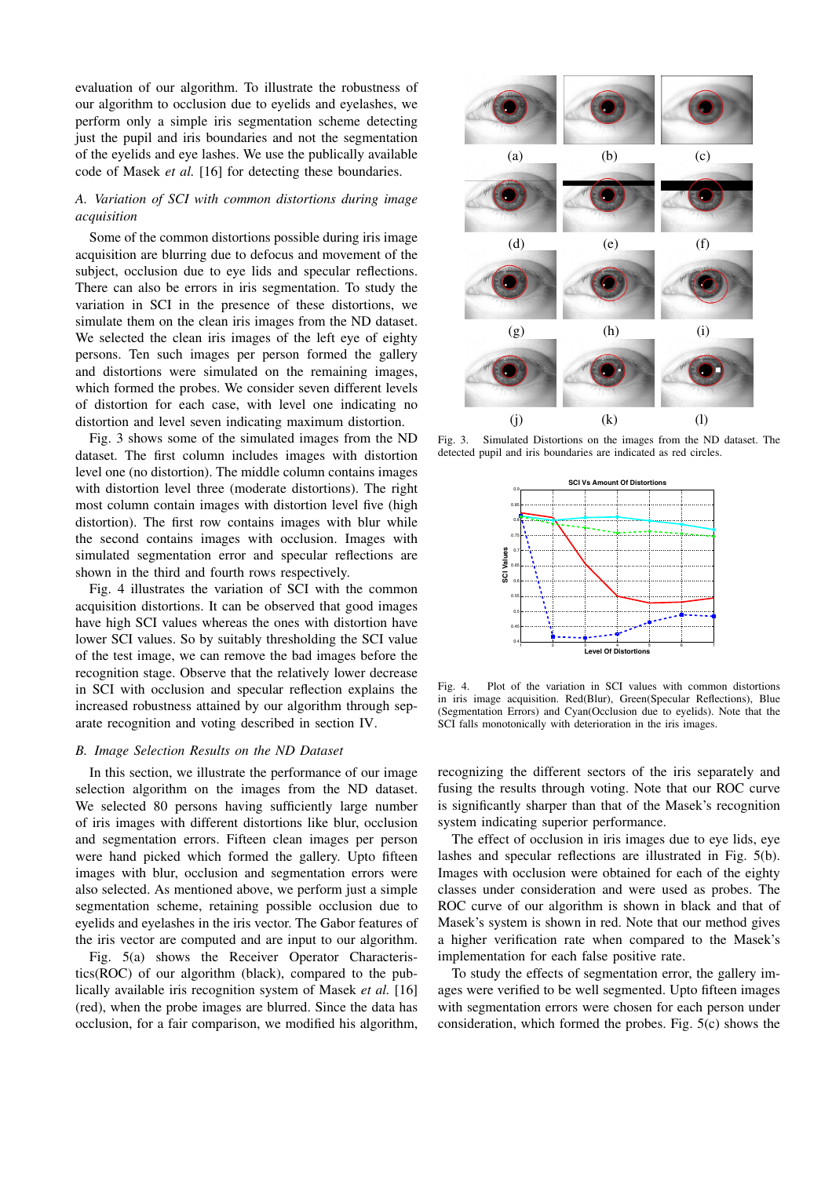evaluation of our algorithm. To illustrate the robustness of our algorithm to occlusion due to eyelids and eyelashes, we perform only a simple iris segmentation scheme detecting just the pupil and iris boundaries and not the segmentation of the eyelids and eye lashes. We use the publically available code of Masek *et al.* [16] for detecting these boundaries.

# *A. Variation of SCI with common distortions during image acquisition*

Some of the common distortions possible during iris image acquisition are blurring due to defocus and movement of the subject, occlusion due to eye lids and specular reflections. There can also be errors in iris segmentation. To study the variation in SCI in the presence of these distortions, we simulate them on the clean iris images from the ND dataset. We selected the clean iris images of the left eye of eighty persons. Ten such images per person formed the gallery and distortions were simulated on the remaining images, which formed the probes. We consider seven different levels of distortion for each case, with level one indicating no distortion and level seven indicating maximum distortion.

Fig. 3 shows some of the simulated images from the ND dataset. The first column includes images with distortion level one (no distortion). The middle column contains images with distortion level three (moderate distortions). The right most column contain images with distortion level five (high distortion). The first row contains images with blur while the second contains images with occlusion. Images with simulated segmentation error and specular reflections are shown in the third and fourth rows respectively.

Fig. 4 illustrates the variation of SCI with the common acquisition distortions. It can be observed that good images have high SCI values whereas the ones with distortion have lower SCI values. So by suitably thresholding the SCI value of the test image, we can remove the bad images before the recognition stage. Observe that the relatively lower decrease in SCI with occlusion and specular reflection explains the increased robustness attained by our algorithm through separate recognition and voting described in section IV.

#### *B. Image Selection Results on the ND Dataset*

In this section, we illustrate the performance of our image selection algorithm on the images from the ND dataset. We selected 80 persons having sufficiently large number of iris images with different distortions like blur, occlusion and segmentation errors. Fifteen clean images per person were hand picked which formed the gallery. Upto fifteen images with blur, occlusion and segmentation errors were also selected. As mentioned above, we perform just a simple segmentation scheme, retaining possible occlusion due to eyelids and eyelashes in the iris vector. The Gabor features of the iris vector are computed and are input to our algorithm.

Fig. 5(a) shows the Receiver Operator Characteristics(ROC) of our algorithm (black), compared to the publically available iris recognition system of Masek *et al.* [16] (red), when the probe images are blurred. Since the data has occlusion, for a fair comparison, we modified his algorithm,



Fig. 3. Simulated Distortions on the images from the ND dataset. The detected pupil and iris boundaries are indicated as red circles.



Fig. 4. Plot of the variation in SCI values with common distortions in iris image acquisition. Red(Blur), Green(Specular Reflections), Blue (Segmentation Errors) and Cyan(Occlusion due to eyelids). Note that the SCI falls monotonically with deterioration in the iris images.

recognizing the different sectors of the iris separately and fusing the results through voting. Note that our ROC curve is significantly sharper than that of the Masek's recognition system indicating superior performance.

The effect of occlusion in iris images due to eye lids, eye lashes and specular reflections are illustrated in Fig. 5(b). Images with occlusion were obtained for each of the eighty classes under consideration and were used as probes. The ROC curve of our algorithm is shown in black and that of Masek's system is shown in red. Note that our method gives a higher verification rate when compared to the Masek's implementation for each false positive rate.

To study the effects of segmentation error, the gallery images were verified to be well segmented. Upto fifteen images with segmentation errors were chosen for each person under consideration, which formed the probes. Fig. 5(c) shows the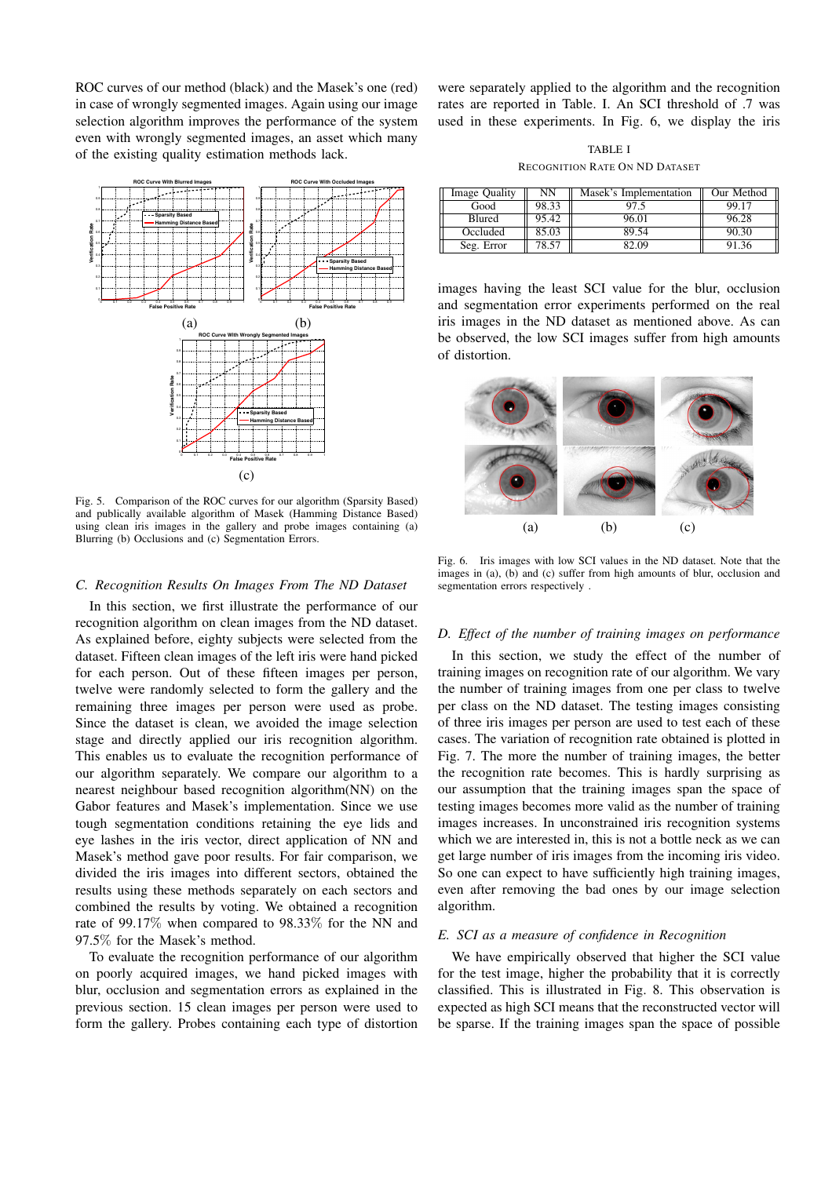ROC curves of our method (black) and the Masek's one (red) in case of wrongly segmented images. Again using our image selection algorithm improves the performance of the system even with wrongly segmented images, an asset which many of the existing quality estimation methods lack.



Fig. 5. Comparison of the ROC curves for our algorithm (Sparsity Based) and publically available algorithm of Masek (Hamming Distance Based) using clean iris images in the gallery and probe images containing (a) Blurring (b) Occlusions and (c) Segmentation Errors.

## *C. Recognition Results On Images From The ND Dataset*

In this section, we first illustrate the performance of our recognition algorithm on clean images from the ND dataset. As explained before, eighty subjects were selected from the dataset. Fifteen clean images of the left iris were hand picked for each person. Out of these fifteen images per person, twelve were randomly selected to form the gallery and the remaining three images per person were used as probe. Since the dataset is clean, we avoided the image selection stage and directly applied our iris recognition algorithm. This enables us to evaluate the recognition performance of our algorithm separately. We compare our algorithm to a nearest neighbour based recognition algorithm(NN) on the Gabor features and Masek's implementation. Since we use tough segmentation conditions retaining the eye lids and eye lashes in the iris vector, direct application of NN and Masek's method gave poor results. For fair comparison, we divided the iris images into different sectors, obtained the results using these methods separately on each sectors and combined the results by voting. We obtained a recognition rate of 99.17% when compared to 98.33% for the NN and 97.5% for the Masek's method.

To evaluate the recognition performance of our algorithm on poorly acquired images, we hand picked images with blur, occlusion and segmentation errors as explained in the previous section. 15 clean images per person were used to form the gallery. Probes containing each type of distortion were separately applied to the algorithm and the recognition rates are reported in Table. I. An SCI threshold of .7 was used in these experiments. In Fig. 6, we display the iris

TABLE I RECOGNITION RATE ON ND DATASET

| Image Quality | NΝ    | Masek's Implementation | Our Method |
|---------------|-------|------------------------|------------|
| Good          | 98.33 | 97.5                   | 99.17      |
| Blured        | 95.42 | 96.01                  | 96.28      |
| Occluded      | 85.03 | 89.54                  | 90.30      |
| Seg. Error    | 78.57 | 82.09                  | 91.36      |

images having the least SCI value for the blur, occlusion and segmentation error experiments performed on the real iris images in the ND dataset as mentioned above. As can be observed, the low SCI images suffer from high amounts of distortion.



Fig. 6. Iris images with low SCI values in the ND dataset. Note that the images in (a), (b) and (c) suffer from high amounts of blur, occlusion and segmentation errors respectively .

## *D. Effect of the number of training images on performance*

In this section, we study the effect of the number of training images on recognition rate of our algorithm. We vary the number of training images from one per class to twelve per class on the ND dataset. The testing images consisting of three iris images per person are used to test each of these cases. The variation of recognition rate obtained is plotted in Fig. 7. The more the number of training images, the better the recognition rate becomes. This is hardly surprising as our assumption that the training images span the space of testing images becomes more valid as the number of training images increases. In unconstrained iris recognition systems which we are interested in, this is not a bottle neck as we can get large number of iris images from the incoming iris video. So one can expect to have sufficiently high training images, even after removing the bad ones by our image selection algorithm.

## *E. SCI as a measure of confidence in Recognition*

We have empirically observed that higher the SCI value for the test image, higher the probability that it is correctly classified. This is illustrated in Fig. 8. This observation is expected as high SCI means that the reconstructed vector will be sparse. If the training images span the space of possible